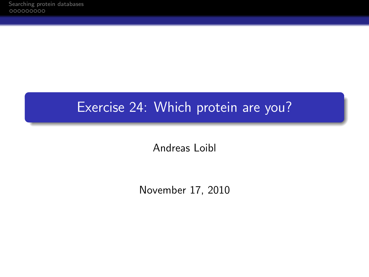## Exercise 24: Which protein are you?

Andreas Loibl

November 17, 2010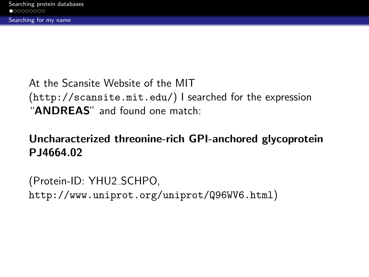## At the Scansite Website of the MIT (<http://scansite.mit.edu/>) I searched for the expression "ANDREAS" and found one match:

## Uncharacterized threonine-rich GPI-anchored glycoprotein PJ4664.02

<span id="page-1-0"></span>(Protein-ID: YHU2 SCHPO, <http://www.uniprot.org/uniprot/Q96WV6.html>)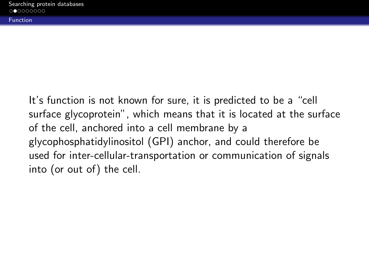Function

It's function is not known for sure, it is predicted to be a "cell surface glycoprotein", which means that it is located at the surface of the cell, anchored into a cell membrane by a glycophosphatidylinositol (GPI) anchor, and could therefore be used for inter-cellular-transportation or communication of signals into (or out of) the cell.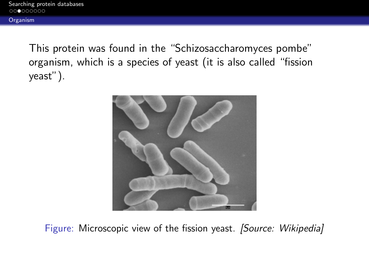This protein was found in the "Schizosaccharomyces pombe" organism, which is a species of yeast (it is also called "fission yeast").



Figure: Microscopic view of the fission yeast. [Source: Wikipedia]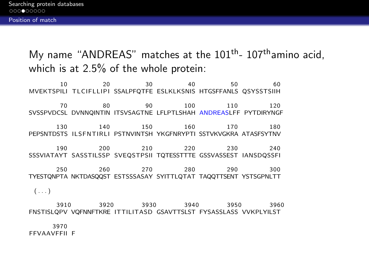My name "ANDREAS" matches at the  $101<sup>th</sup>$ - 107<sup>th</sup>amino acid. which is at 2.5% of the whole protein:

10 20 30 40 50 60 MVEKTSPILI TLCIFLLIPI SSALPFQTFE ESLKLKSNIS HTGSFFANLS QSYSSTSIIH 70 80 90 100 110 120 SVSSPVDCSL DVNNQINTIN ITSVSAGTNE LFLPTLSHAH ANDREASLFF PYTDIRYNGF 130 140 150 160 170 180 PEPSNTDSTS ILSFNTIRLI PSTNVINTSH YKGFNRYPTI SSTVKVGKRA ATASFSYTNV 190 200 210 220 230 240 SSSVIATAYT SASSTILSSP SVEQSTPSII TQTESSTTTE GSSVASSEST IANSDQSSFI 250 260 270 280 290 300 TYESTQNPTA NKTDASQQST ESTSSSASAY SYITTLQTAT TAQQTTSENT YSTSGPNLTT  $(\ldots)$ 

3910 3920 3930 3940 3950 3960 FNSTISLQPV VQFNNFTKRE ITTILITASD GSAVTTSLST FYSASSLASS VVKPLYILST

3970 FFVAAVFFII F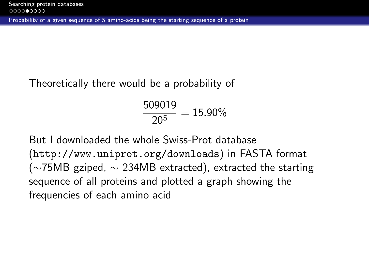## Theoretically there would be a probability of

$$
\frac{509019}{20^5} = 15.90\%
$$

But I downloaded the whole Swiss-Prot database (<http://www.uniprot.org/downloads>) in FASTA format ( $\sim$ 75MB gziped,  $\sim$  234MB extracted), extracted the starting sequence of all proteins and plotted a graph showing the frequencies of each amino acid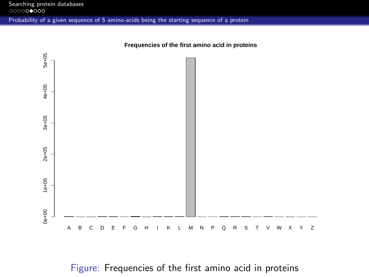

**Frequencies of the first amino acid in proteins**

Figure: Frequencies of the first amino acid in proteins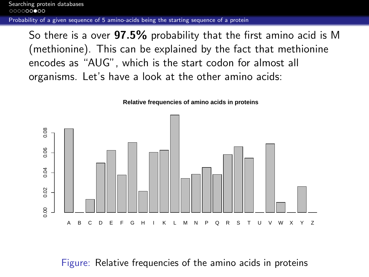So there is a over 97.5% probability that the first amino acid is M (methionine). This can be explained by the fact that methionine encodes as "AUG", which is the start codon for almost all organisms. Let's have a look at the other amino acids:



**Relative frequencies of amino acids in proteins**

<span id="page-7-0"></span>Figure: Relative frequencies of the amino acids in proteins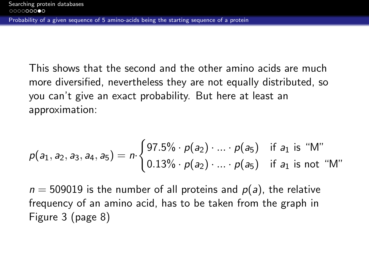This shows that the second and the other amino acids are much more diversified, nevertheless they are not equally distributed, so you can't give an exact probability. But here at least an approximation:

$$
p(a_1, a_2, a_3, a_4, a_5) = n \cdot \begin{cases} 97.5\% \cdot p(a_2) \cdot \ldots \cdot p(a_5) & \text{if } a_1 \text{ is "M"} \\ 0.13\% \cdot p(a_2) \cdot \ldots \cdot p(a_5) & \text{if } a_1 \text{ is not "M"} \end{cases}
$$

 $n = 509019$  is the number of all proteins and  $p(a)$ , the relative frequency of an amino acid, has to be taken from the graph in Figure [3](#page-7-0) (page 8)